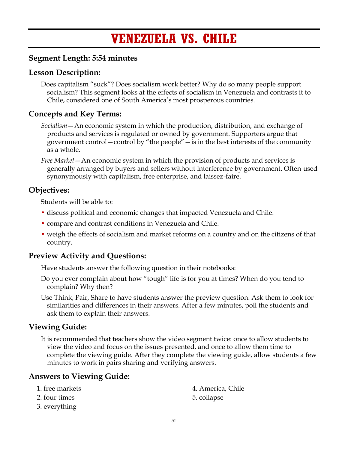# **VENEZUELA VS. CHILE**

## **Segment Length: 5:54 minutes**

## **Lesson Description:**

Does capitalism "suck"? Does socialism work better? Why do so many people support socialism? This segment looks at the effects of socialism in Venezuela and contrasts it to Chile, considered one of South America's most prosperous countries.

## **Concepts and Key Terms:**

*Socialism*—An economic system in which the production, distribution, and exchange of products and services is regulated or owned by government. Supporters argue that government control—control by "the people"—is in the best interests of the community as a whole.

*Free Market*—An economic system in which the provision of products and services is generally arranged by buyers and sellers without interference by government. Often used synonymously with capitalism, free enterprise, and laissez-faire.

## **Objectives:**

Students will be able to:

- discuss political and economic changes that impacted Venezuela and Chile.
- compare and contrast conditions in Venezuela and Chile.
- weigh the effects of socialism and market reforms on a country and on the citizens of that country.

## **Preview Activity and Questions:**

Have students answer the following question in their notebooks:

- Do you ever complain about how "tough" life is for you at times? When do you tend to complain? Why then?
- Use Think, Pair, Share to have students answer the preview question. Ask them to look for similarities and differences in their answers. After a few minutes, poll the students and ask them to explain their answers.

## **Viewing Guide:**

It is recommended that teachers show the video segment twice: once to allow students to view the video and focus on the issues presented, and once to allow them time to complete the viewing guide. After they complete the viewing guide, allow students a few minutes to work in pairs sharing and verifying answers.

## **Answers to Viewing Guide:**

| 1. free markets | 4. America, Chile |
|-----------------|-------------------|
| 2. four times   | 5. collapse       |
| 3. everything   |                   |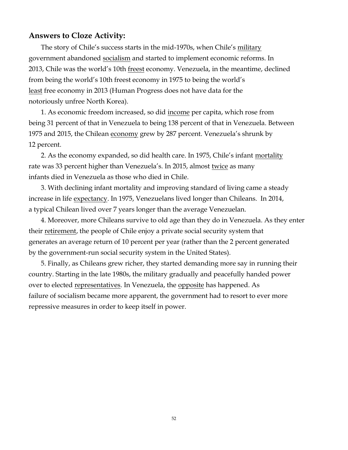#### **Answers to Cloze Activity:**

The story of Chile's success starts in the mid-1970s, when Chile's military government abandoned socialism and started to implement economic reforms. In 2013, Chile was the world's 10th freest economy. Venezuela, in the meantime, declined from being the world's 10th freest economy in 1975 to being the world's least free economy in 2013 (Human Progress does not have data for the notoriously unfree North Korea).

1. As economic freedom increased, so did income per capita, which rose from being 31 percent of that in Venezuela to being 138 percent of that in Venezuela. Between 1975 and 2015, the Chilean economy grew by 287 percent. Venezuela's shrunk by 12 percent.

2. As the economy expanded, so did health care. In 1975, Chile's infant mortality rate was 33 percent higher than Venezuela's. In 2015, almost twice as many infants died in Venezuela as those who died in Chile.

3. With declining infant mortality and improving standard of living came a steady increase in life expectancy. In 1975, Venezuelans lived longer than Chileans. In 2014, a typical Chilean lived over 7 years longer than the average Venezuelan.

4. Moreover, more Chileans survive to old age than they do in Venezuela. As they enter their retirement, the people of Chile enjoy a private social security system that generates an average return of 10 percent per year (rather than the 2 percent generated by the government-run social security system in the United States).

5. Finally, as Chileans grew richer, they started demanding more say in running their country. Starting in the late 1980s, the military gradually and peacefully handed power over to elected representatives. In Venezuela, the opposite has happened. As failure of socialism became more apparent, the government had to resort to ever more repressive measures in order to keep itself in power.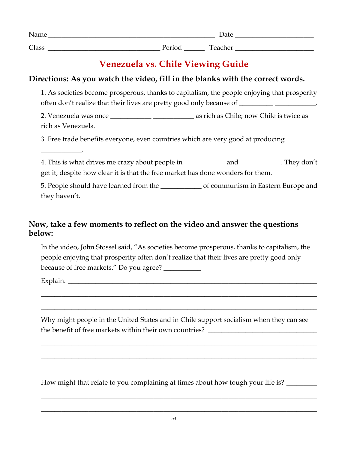| Name  |                         | Date    |
|-------|-------------------------|---------|
| Class | $D_{\alpha}$<br>I CIIUU | Teacher |

## **Venezuela vs. Chile Viewing Guide**

## **Directions: As you watch the video, fill in the blanks with the correct words.**

1. As societies become prosperous, thanks to capitalism, the people enjoying that prosperity often don't realize that their lives are pretty good only because of \_\_\_\_\_\_\_\_\_\_\_\_\_\_\_\_\_\_\_.

2. Venezuela was once as the same as rich as Chile; now Chile is twice as rich as Venezuela.

3. Free trade benefits everyone, even countries which are very good at producing

4. This is what drives me crazy about people in \_\_\_\_\_\_\_\_\_\_\_\_ and \_\_\_\_\_\_\_\_\_\_\_\_. They don't get it, despite how clear it is that the free market has done wonders for them.

5. People should have learned from the \_\_\_\_\_\_\_\_\_\_\_\_ of communism in Eastern Europe and they haven't.

## **Now, take a few moments to reflect on the video and answer the questions below:**

In the video, John Stossel said, "As societies become prosperous, thanks to capitalism, the people enjoying that prosperity often don't realize that their lives are pretty good only because of free markets." Do you agree? \_\_\_\_\_\_\_\_\_\_\_

Explain. \_\_\_\_\_\_\_\_\_\_\_\_\_\_\_\_\_\_\_\_\_\_\_\_\_\_\_\_\_\_\_\_\_\_\_\_\_\_\_\_\_\_\_\_\_\_\_\_\_\_\_\_\_\_\_\_\_\_\_\_\_\_\_\_\_\_\_\_\_\_\_\_\_

\_\_\_\_\_\_\_\_\_\_\_\_.

Why might people in the United States and in Chile support socialism when they can see the benefit of free markets within their own countries? \_\_\_\_\_\_\_\_\_\_\_\_\_\_\_\_\_\_\_\_\_\_\_\_

\_\_\_\_\_\_\_\_\_\_\_\_\_\_\_\_\_\_\_\_\_\_\_\_\_\_\_\_\_\_\_\_\_\_\_\_\_\_\_\_\_\_\_\_\_\_\_\_\_\_\_\_\_\_\_\_\_\_\_\_\_\_\_\_\_\_\_\_\_\_\_\_\_\_\_\_\_\_\_\_\_

\_\_\_\_\_\_\_\_\_\_\_\_\_\_\_\_\_\_\_\_\_\_\_\_\_\_\_\_\_\_\_\_\_\_\_\_\_\_\_\_\_\_\_\_\_\_\_\_\_\_\_\_\_\_\_\_\_\_\_\_\_\_\_\_\_\_\_\_\_\_\_\_\_\_\_\_\_\_\_\_\_

\_\_\_\_\_\_\_\_\_\_\_\_\_\_\_\_\_\_\_\_\_\_\_\_\_\_\_\_\_\_\_\_\_\_\_\_\_\_\_\_\_\_\_\_\_\_\_\_\_\_\_\_\_\_\_\_\_\_\_\_\_\_\_\_\_\_\_\_\_\_\_\_\_\_\_\_\_\_\_\_\_

\_\_\_\_\_\_\_\_\_\_\_\_\_\_\_\_\_\_\_\_\_\_\_\_\_\_\_\_\_\_\_\_\_\_\_\_\_\_\_\_\_\_\_\_\_\_\_\_\_\_\_\_\_\_\_\_\_\_\_\_\_\_\_\_\_\_\_\_\_\_\_\_\_\_\_\_\_\_\_\_\_

\_\_\_\_\_\_\_\_\_\_\_\_\_\_\_\_\_\_\_\_\_\_\_\_\_\_\_\_\_\_\_\_\_\_\_\_\_\_\_\_\_\_\_\_\_\_\_\_\_\_\_\_\_\_\_\_\_\_\_\_\_\_\_\_\_\_\_\_\_\_\_\_\_\_\_\_\_\_\_\_\_

\_\_\_\_\_\_\_\_\_\_\_\_\_\_\_\_\_\_\_\_\_\_\_\_\_\_\_\_\_\_\_\_\_\_\_\_\_\_\_\_\_\_\_\_\_\_\_\_\_\_\_\_\_\_\_\_\_\_\_\_\_\_\_\_\_\_\_\_\_\_\_\_\_\_\_\_\_\_\_\_\_

\_\_\_\_\_\_\_\_\_\_\_\_\_\_\_\_\_\_\_\_\_\_\_\_\_\_\_\_\_\_\_\_\_\_\_\_\_\_\_\_\_\_\_\_\_\_\_\_\_\_\_\_\_\_\_\_\_\_\_\_\_\_\_\_\_\_\_\_\_\_\_\_\_\_\_\_\_\_\_\_\_

How might that relate to you complaining at times about how tough your life is?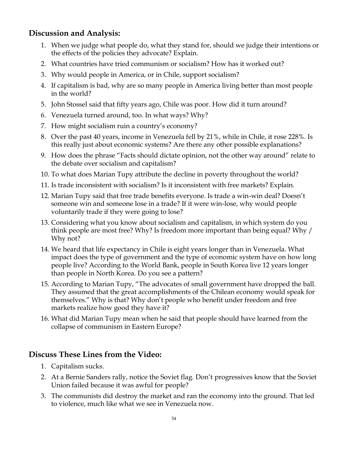## **Discussion and Analysis:**

- 1. When we judge what people do, what they stand for, should we judge their intentions or the effects of the policies they advocate? Explain.
- 2. What countries have tried communism or socialism? How has it worked out?
- 3. Why would people in America, or in Chile, support socialism?
- 4. If capitalism is bad, why are so many people in America living better than most people in the world?
- 5. John Stossel said that fifty years ago, Chile was poor. How did it turn around?
- 6. Venezuela turned around, too. In what ways? Why?
- 7. How might socialism ruin a country's economy?
- 8. Over the past 40 years, income in Venezuela fell by 21%, while in Chile, it rose 228%. Is this really just about economic systems? Are there any other possible explanations?
- 9. How does the phrase "Facts should dictate opinion, not the other way around" relate to the debate over socialism and capitalism?
- 10. To what does Marian Tupy attribute the decline in poverty throughout the world?
- 11. Is trade inconsistent with socialism? Is it inconsistent with free markets? Explain.
- 12. Marian Tupy said that free trade benefits everyone. Is trade a win-win deal? Doesn't someone win and someone lose in a trade? If it were win-lose, why would people voluntarily trade if they were going to lose?
- 13. Considering what you know about socialism and capitalism, in which system do you think people are most free? Why? Is freedom more important than being equal? Why / Why not?
- 14. We heard that life expectancy in Chile is eight years longer than in Venezuela. What impact does the type of government and the type of economic system have on how long people live? According to the World Bank, people in South Korea live 12 years longer than people in North Korea. Do you see a pattern?
- 15. According to Marian Tupy, "The advocates of small government have dropped the ball. They assumed that the great accomplishments of the Chilean economy would speak for themselves." Why is that? Why don't people who benefit under freedom and free markets realize how good they have it?
- 16. What did Marian Tupy mean when he said that people should have learned from the collapse of communism in Eastern Europe?

## **Discuss These Lines from the Video:**

- 1. Capitalism sucks.
- 2. At a Bernie Sanders rally, notice the Soviet flag. Don't progressives know that the Soviet Union failed because it was awful for people?
- 3. The communists did destroy the market and ran the economy into the ground. That led to violence, much like what we see in Venezuela now.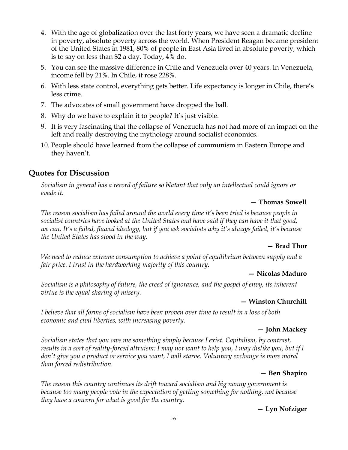- 4. With the age of globalization over the last forty years, we have seen a dramatic decline in poverty, absolute poverty across the world. When President Reagan became president of the United States in 1981, 80% of people in East Asia lived in absolute poverty, which is to say on less than \$2 a day. Today, 4% do.
- 5. You can see the massive difference in Chile and Venezuela over 40 years. In Venezuela, income fell by 21%. In Chile, it rose 228%.
- 6. With less state control, everything gets better. Life expectancy is longer in Chile, there's less crime.
- 7. The advocates of small government have dropped the ball.
- 8. Why do we have to explain it to people? It's just visible.
- 9. It is very fascinating that the collapse of Venezuela has not had more of an impact on the left and really destroying the mythology around socialist economics.
- 10. People should have learned from the collapse of communism in Eastern Europe and they haven't.

## **Quotes for Discussion**

*Socialism in general has a record of failure so blatant that only an intellectual could ignore or evade it.*

#### **— Thomas Sowell**

*The reason socialism has failed around the world every time it's been tried is because people in socialist countries have looked at the United States and have said if they can have it that good, we can. It's a failed, flawed ideology, but if you ask socialists why it's always failed, it's because the United States has stood in the way.*

#### **— Brad Thor**

*We need to reduce extreme consumption to achieve a point of equilibrium between supply and a fair price. I trust in the hardworking majority of this country.*

#### **— Nicolas Maduro**

*Socialism is a philosophy of failure, the creed of ignorance, and the gospel of envy, its inherent virtue is the equal sharing of misery.*

#### **— Winston Churchill**

*I believe that all forms of socialism have been proven over time to result in a loss of both economic and civil liberties, with increasing poverty.*

#### **— John Mackey**

*Socialism states that you owe me something simply because I exist. Capitalism, by contrast, results in a sort of reality-forced altruism: I may not want to help you, I may dislike you, but if I don't give you a product or service you want, I will starve. Voluntary exchange is more moral than forced redistribution.*

#### **— Ben Shapiro**

*The reason this country continues its drift toward socialism and big nanny government is because too many people vote in the expectation of getting something for nothing, not because they have a concern for what is good for the country.*

#### **— Lyn Nofziger**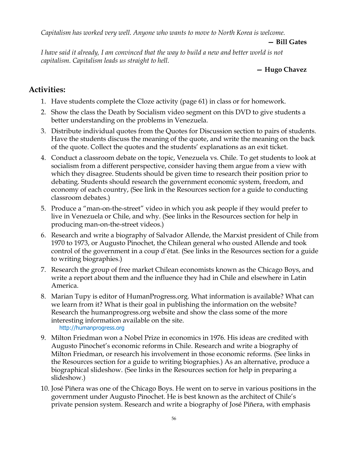*Capitalism has worked very well. Anyone who wants to move to North Korea is welcome.*

#### **— Bill Gates**

*I have said it already, I am convinced that the way to build a new and better world is not capitalism. Capitalism leads us straight to hell.*

#### **— Hugo Chavez**

## **Activities:**

- 1. Have students complete the Cloze activity (page 61) in class or for homework.
- 2. Show the class the Death by Socialism video segment on this DVD to give students a better understanding on the problems in Venezuela.
- 3. Distribute individual quotes from the Quotes for Discussion section to pairs of students. Have the students discuss the meaning of the quote, and write the meaning on the back of the quote. Collect the quotes and the students' explanations as an exit ticket.
- 4. Conduct a classroom debate on the topic, Venezuela vs. Chile. To get students to look at socialism from a different perspective, consider having them argue from a view with which they disagree. Students should be given time to research their position prior to debating. Students should research the government economic system, freedom, and economy of each country, (See link in the Resources section for a guide to conducting classroom debates.)
- 5. Produce a "man-on-the-street" video in which you ask people if they would prefer to live in Venezuela or Chile, and why. (See links in the Resources section for help in producing man-on-the-street videos.)
- 6. Research and write a biography of Salvador Allende, the Marxist president of Chile from 1970 to 1973, or Augusto Pinochet, the Chilean general who ousted Allende and took control of the government in a coup d'état. (See links in the Resources section for a guide to writing biographies.)
- 7. Research the group of free market Chilean economists known as the Chicago Boys, and write a report about them and the influence they had in Chile and elsewhere in Latin America.
- 8. Marian Tupy is editor of HumanProgress.org. What information is available? What can we learn from it? What is their goal in publishing the information on the website? Research the humanprogress.org website and show the class some of the more interesting information available on the site. http://humanprogress.org
- 9. Milton Friedman won a Nobel Prize in economics in 1976. His ideas are credited with Augusto Pinochet's economic reforms in Chile. Research and write a biography of Milton Friedman, or research his involvement in those economic reforms. (See links in the Resources section for a guide to writing biographies.) As an alternative, produce a biographical slideshow. (See links in the Resources section for help in preparing a slideshow.)
- 10. José Piñera was one of the Chicago Boys. He went on to serve in various positions in the government under Augusto Pinochet. He is best known as the architect of Chile's private pension system. Research and write a biography of José Piñera, with emphasis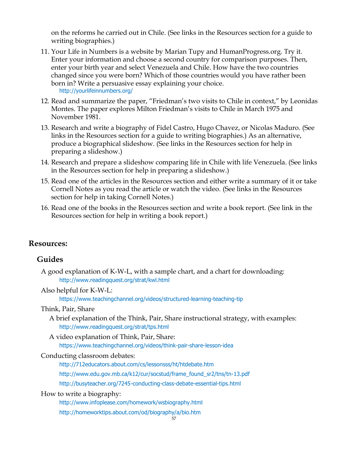on the reforms he carried out in Chile. (See links in the Resources section for a guide to writing biographies.)

- 11. Your Life in Numbers is a website by Marian Tupy and HumanProgress.org. Try it. Enter your information and choose a second country for comparison purposes. Then, enter your birth year and select Venezuela and Chile. How have the two countries changed since you were born? Which of those countries would you have rather been born in? Write a persuasive essay explaining your choice. http://yourlifeinnumbers.org/
- 12. Read and summarize the paper, "Friedman's two visits to Chile in context," by Leonidas Montes. The paper explores Milton Friedman's visits to Chile in March 1975 and November 1981.
- 13. Research and write a biography of Fidel Castro, Hugo Chavez, or Nicolas Maduro. (See links in the Resources section for a guide to writing biographies.) As an alternative, produce a biographical slideshow. (See links in the Resources section for help in preparing a slideshow.)
- 14. Research and prepare a slideshow comparing life in Chile with life Venezuela. (See links in the Resources section for help in preparing a slideshow.)
- 15. Read one of the articles in the Resources section and either write a summary of it or take Cornell Notes as you read the article or watch the video. (See links in the Resources section for help in taking Cornell Notes.)
- 16. Read one of the books in the Resources section and write a book report. (See link in the Resources section for help in writing a book report.)

### **Resources:**

#### **Guides**

A good explanation of K-W-L, with a sample chart, and a chart for downloading: http://www.readingquest.org/strat/kwl.html

Also helpful for K-W-L:

https://www.teachingchannel.org/videos/structured-learning-teaching-tip

#### Think, Pair, Share

- A brief explanation of the Think, Pair, Share instructional strategy, with examples: http://www.readingquest.org/strat/tps.html
- A video explanation of Think, Pair, Share:

https://www.teachingchannel.org/videos/think-pair-share-lesson-idea

#### Conducting classroom debates:

http://712educators.about.com/cs/lessonsss/ht/htdebate.htm http://www.edu.gov.mb.ca/k12/cur/socstud/frame\_found\_sr2/tns/tn-13.pdf

http://busyteacher.org/7245-conducting-class-debate-essential-tips.html

#### How to write a biography:

http://www.infoplease.com/homework/wsbiography.html http://homeworktips.about.com/od/biography/a/bio.htm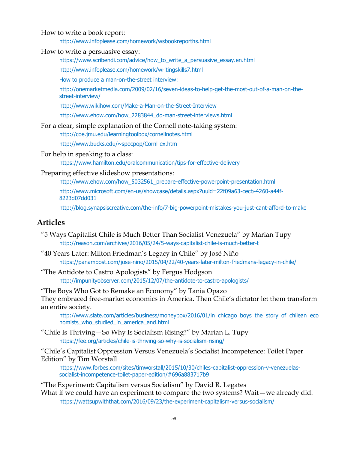How to write a book report:

http://www.infoplease.com/homework/wsbookreporths.html

How to write a persuasive essay:

https://www.scribendi.com/advice/how\_to\_write\_a\_persuasive\_essay.en.html

http://www.infoplease.com/homework/writingskills7.html

How to produce a man-on-the-street interview:

http://onemarketmedia.com/2009/02/16/seven-ideas-to-help-get-the-most-out-of-a-man-on-thestreet-interview/

http://www.wikihow.com/Make-a-Man-on-the-Street-Interview

http://www.ehow.com/how\_2283844\_do-man-street-interviews.html

For a clear, simple explanation of the Cornell note-taking system:

http://coe.jmu.edu/learningtoolbox/cornellnotes.html

http://www.bucks.edu/~specpop/Cornl-ex.htm

For help in speaking to a class:

https://www.hamilton.edu/oralcommunication/tips-for-effective-delivery

#### Preparing effective slideshow presentations:

http://www.ehow.com/how\_5032561\_prepare-effective-powerpoint-presentation.html

http://www.microsoft.com/en-us/showcase/details.aspx?uuid=22f09a63-cecb-4260-a44f-8223d07dd031

http://blog.synapsiscreative.com/the-info/7-big-powerpoint-mistakes-you-just-cant-afford-to-make

#### **Articles**

- "5 Ways Capitalist Chile is Much Better Than Socialist Venezuela" by Marian Tupy http://reason.com/archives/2016/05/24/5-ways-capitalist-chile-is-much-better-t
- "40 Years Later: Milton Friedman's Legacy in Chile" by José Niño https://panampost.com/jose-nino/2015/04/22/40-years-later-milton-friedmans-legacy-in-chile/
- "The Antidote to Castro Apologists" by Fergus Hodgson http://impunityobserver.com/2015/12/07/the-antidote-to-castro-apologists/

"The Boys Who Got to Remake an Economy" by Tania Opazo They embraced free-market economics in America. Then Chile's dictator let them transform an entire society.

http://www.slate.com/articles/business/moneybox/2016/01/in\_chicago\_boys\_the\_story\_of\_chilean\_eco nomists who studied in america and.html

"Chile Is Thriving—So Why Is Socialism Rising?" by Marian L. Tupy https://fee.org/articles/chile-is-thriving-so-why-is-socialism-rising/

"Chile's Capitalist Oppression Versus Venezuela's Socialist Incompetence: Toilet Paper Edition" by Tim Worstall

https://www.forbes.com/sites/timworstall/2015/10/30/chiles-capitalist-oppression-v-venezuelassocialist-incompetence-toilet-paper-edition/#696a883717b9

"The Experiment: Capitalism versus Socialism" by David R. Legates

What if we could have an experiment to compare the two systems? Wait — we already did. https://wattsupwiththat.com/2016/09/23/the-experiment-capitalism-versus-socialism/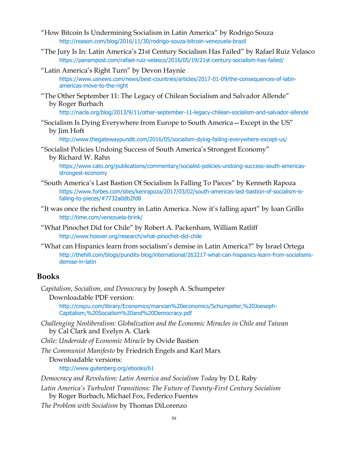- "How Bitcoin Is Undermining Socialism in Latin America" by Rodrigo Souza http://reason.com/blog/2016/11/30/rodrigo-souza-bitcoin-venezuela-brazil
- "The Jury Is In: Latin America's 21st Century Socialism Has Failed" by Rafael Ruiz Velasco https://panampost.com/rafael-ruiz-velasco/2016/05/19/21st-century-socialism-has-failed/
- "Latin America's Right Turn" by Devon Haynie https://www.usnews.com/news/best-countries/articles/2017-01-09/the-consequences-of-latinamericas-move-to-the-right
- "The Other September 11: The Legacy of Chilean Socialism and Salvador Allende" by Roger Burbach

http://nacla.org/blog/2013/9/11/other-september-11-legacy-chilean-socialism-and-salvador-allende

"Socialism Is Dying Everywhere from Europe to South America—Except in the US" by Jim Hoft

http://www.thegatewaypundit.com/2016/05/socialism-dying-failing-everywhere-except-us/

- "Socialist Policies Undoing Success of South America's Strongest Economy" by Richard W. Rahn
	- https://www.cato.org/publications/commentary/socialist-policies-undoing-success-south-americasstrongest-economy
- "South America's Last Bastion Of Socialism Is Falling To Pieces" by Kenneth Rapoza https://www.forbes.com/sites/kenrapoza/2017/03/02/south-americas-last-bastion-of-socialism-isfalling-to-pieces/#7732a0db2fd8
- "It was once the richest country in Latin America. Now it's falling apart" by Ioan Grillo http://time.com/venezuela-brink/
- "What Pinochet Did for Chile" by Robert A. Packenham, William Ratliff http://www.hoover.org/research/what-pinochet-did-chile
- "What can Hispanics learn from socialism's demise in Latin America?" by Israel Ortega http://thehill.com/blogs/pundits-blog/international/263217-what-can-hispanics-learn-from-socialismsdemise-in-latin

#### **Books**

*Capitalism, Socialism, and Democracy* by Joseph A. Schumpeter

Downloadable PDF version:

http://cnqzu.com/library/Economics/marxian%20economics/Schumpeter,%20Joeseph-Capitalism,%20Socialism%20and%20Democracy.pdf

*Challenging Neoliberalism: Globalization and the Economic Miracles in Chile and Taiwan* by Cal Clark and Evelyn A. Clark

*Chile: Underside of Economic Miracle* by Ovide Bastien

*The Communist Manifesto* by Friedrich Engels and Karl Marx

Downloadable versions:

http://www.gutenberg.org/ebooks/61

*Democracy and Revolution: Latin America and Socialism Today* by D.L Raby

*Latin America's Turbulent Transitions: The Future of Twenty-First Century Socialism*

by Roger Burbach, Michael Fox, Federico Fuentes

*The Problem with Socialism* by Thomas DiLorenzo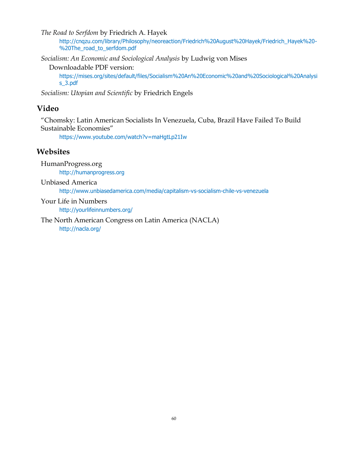*The Road to Serfdom* by Friedrich A. Hayek

http://cnqzu.com/library/Philosophy/neoreaction/Friedrich%20August%20Hayek/Friedrich\_Hayek%20- %20The\_road\_to\_serfdom.pdf

*Socialism: An Economic and Sociological Analysis* by Ludwig von Mises

Downloadable PDF version:

https://mises.org/sites/default/files/Socialism%20An%20Economic%20and%20Sociological%20Analysi s\_3.pdf

*Socialism: Utopian and Scientific* by Friedrich Engels

## **Video**

"Chomsky: Latin American Socialists In Venezuela, Cuba, Brazil Have Failed To Build Sustainable Economies"

https://www.youtube.com/watch?v=maHgtLp21Iw

#### **Websites**

HumanProgress.org

http://humanprogress.org

Unbiased America

http://www.unbiasedamerica.com/media/capitalism-vs-socialism-chile-vs-venezuela

#### Your Life in Numbers

http://yourlifeinnumbers.org/

The North American Congress on Latin America (NACLA) http://nacla.org/